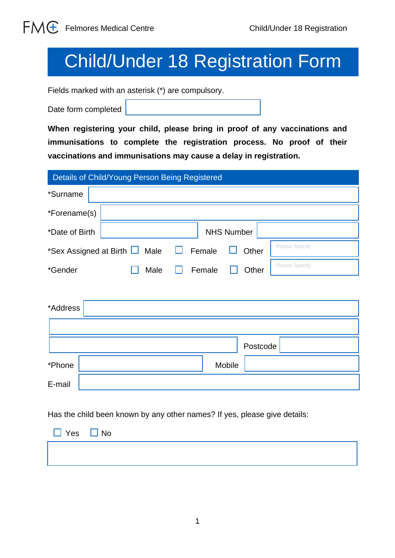# Child/Under 18 Registration Form

Fields marked with an asterisk (\*) are compulsory.

Date form completed

**When registering your child, please bring in proof of any vaccinations and immunisations to complete the registration process. No proof of their vaccinations and immunisations may cause a delay in registration.**

| Details of Child/Young Person Being Registered |                                                                                  |  |
|------------------------------------------------|----------------------------------------------------------------------------------|--|
| *Surname                                       |                                                                                  |  |
| *Forename(s)                                   |                                                                                  |  |
| *Date of Birth                                 | <b>NHS Number</b>                                                                |  |
|                                                | <b>Please Specify</b><br>*Sex Assigned at Birth <b>D</b> Male<br>Female<br>Other |  |
| *Gender                                        | Please Specify<br>Female<br>Male<br>Other                                        |  |
|                                                |                                                                                  |  |
| *Address                                       |                                                                                  |  |
|                                                |                                                                                  |  |
|                                                | Postcode                                                                         |  |
| *Phone                                         | Mobile                                                                           |  |
| E-mail                                         |                                                                                  |  |

Has the child been known by any other names? If yes, please give details:

| $\Box$ Yes $\Box$ No |  |
|----------------------|--|
|                      |  |
|                      |  |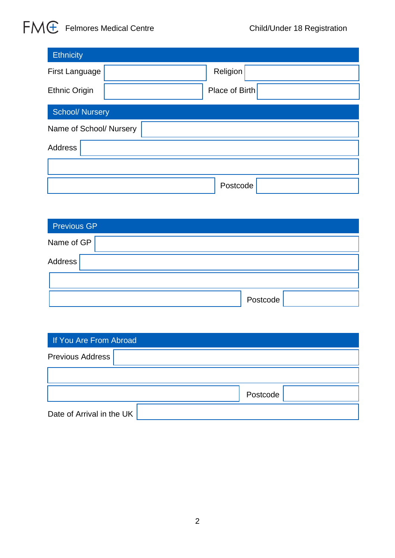| <b>Ethnicity</b>        |                |
|-------------------------|----------------|
| First Language          | Religion       |
| <b>Ethnic Origin</b>    | Place of Birth |
| <b>School/ Nursery</b>  |                |
| Name of School/ Nursery |                |
| Address                 |                |
|                         |                |
|                         | Postcode       |

| <b>Previous GP</b> |          |
|--------------------|----------|
| Name of $GP$       |          |
| Address            |          |
|                    |          |
|                    | Postcode |

| If You Are From Abroad    |          |  |
|---------------------------|----------|--|
| <b>Previous Address</b>   |          |  |
|                           |          |  |
|                           | Postcode |  |
| Date of Arrival in the UK |          |  |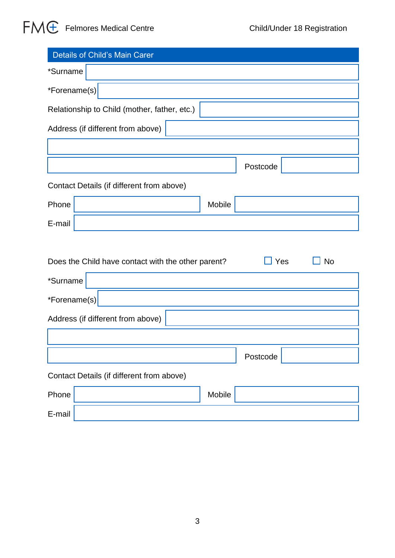| <b>Details of Child's Main Carer</b>                                            |
|---------------------------------------------------------------------------------|
| *Surname                                                                        |
| *Forename(s)                                                                    |
| Relationship to Child (mother, father, etc.)                                    |
| Address (if different from above)                                               |
|                                                                                 |
| Postcode                                                                        |
| Contact Details (if different from above)                                       |
| Phone<br>Mobile                                                                 |
| E-mail                                                                          |
|                                                                                 |
| $\Box$ Yes<br>$\sqcup$ No<br>Does the Child have contact with the other parent? |
| *Surname                                                                        |
| *Forename(s)                                                                    |
| Address (if different from above)                                               |
|                                                                                 |
| Postcode                                                                        |
| Contact Details (if different from above)                                       |
| Phone<br>Mobile                                                                 |
| E-mail                                                                          |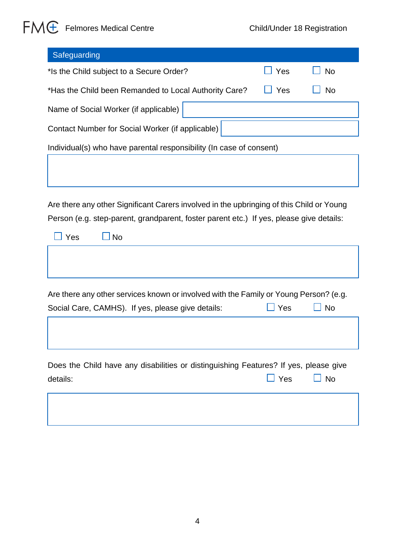#### **Safeguarding**

| *Is the Child subject to a Secure Order?                            | $\Box$ Yes | <b>No</b> |  |
|---------------------------------------------------------------------|------------|-----------|--|
| *Has the Child been Remanded to Local Authority Care?               | $\Box$ Yes | <b>No</b> |  |
| Name of Social Worker (if applicable)                               |            |           |  |
| Contact Number for Social Worker (if applicable)                    |            |           |  |
| Individual(s) who have parental responsibility (In case of consent) |            |           |  |

Are there any other Significant Carers involved in the upbringing of this Child or Young Person (e.g. step-parent, grandparent, foster parent etc.) If yes, please give details:

| $\Box$ Yes $\Box$ No |  |
|----------------------|--|
|                      |  |
|                      |  |
|                      |  |

Are there any other services known or involved with the Family or Young Person? (e.g. Social Care, CAMHS). If yes, please give details:  $\Box$  Yes  $\Box$  No

|          | Does the Child have any disabilities or distinguishing Features? If yes, please give |                      |  |
|----------|--------------------------------------------------------------------------------------|----------------------|--|
| details: |                                                                                      | $\Box$ Yes $\Box$ No |  |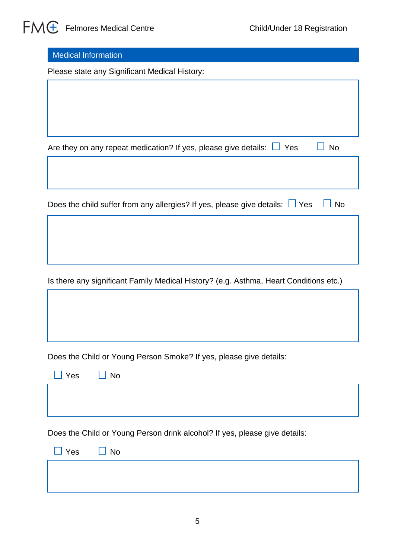Medical Information

Please state any Significant Medical History:

| Are they on any repeat medication? If yes, please give details: $\Box$ Yes<br><b>No</b>        |
|------------------------------------------------------------------------------------------------|
|                                                                                                |
| Does the child suffer from any allergies? If yes, please give details: $\Box$ Yes<br><b>No</b> |
|                                                                                                |

Is there any significant Family Medical History? (e.g. Asthma, Heart Conditions etc.)

Does the Child or Young Person Smoke? If yes, please give details:

| $\Box$ Yes $\Box$ No |  |  |  |
|----------------------|--|--|--|
|                      |  |  |  |
|                      |  |  |  |
|                      |  |  |  |

Does the Child or Young Person drink alcohol? If yes, please give details:

| $\Box$ Yes $\Box$ No |  |
|----------------------|--|
|                      |  |
|                      |  |
|                      |  |